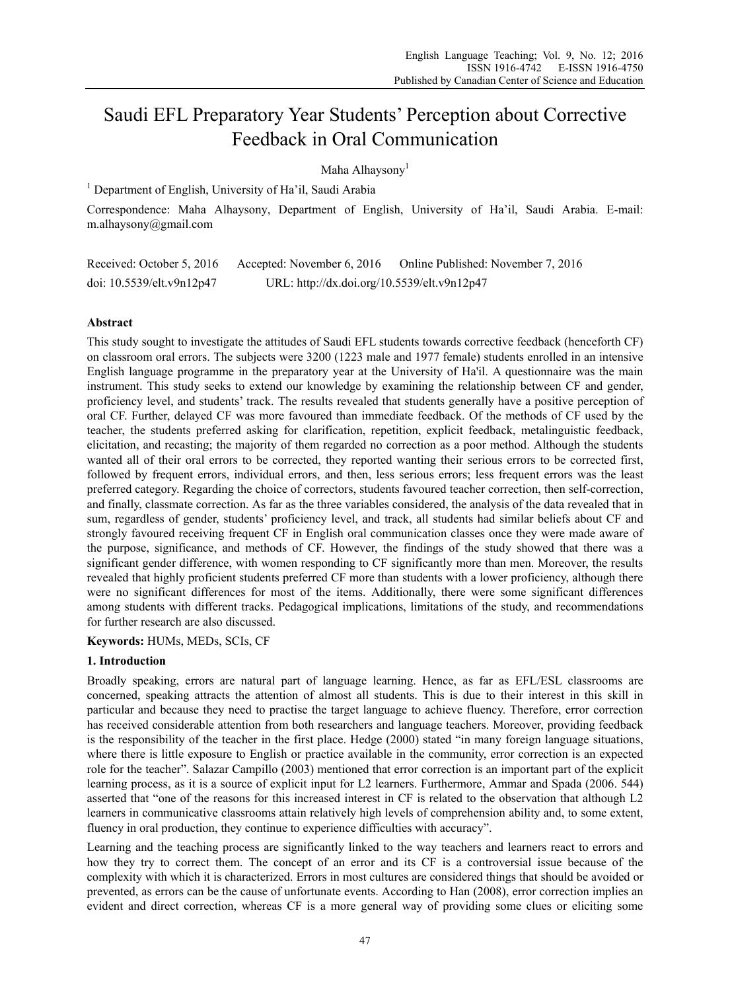# Saudi EFL Preparatory Year Students' Perception about Corrective Feedback in Oral Communication

Maha Alhaysony<sup>1</sup>

<sup>1</sup> Department of English, University of Ha'il, Saudi Arabia

Correspondence: Maha Alhaysony, Department of English, University of Ha'il, Saudi Arabia. E-mail: m.alhaysony@gmail.com

Received: October 5, 2016 Accepted: November 6, 2016 Online Published: November 7, 2016 doi: 10.5539/elt.v9n12p47 URL: http://dx.doi.org/10.5539/elt.v9n12p47

#### **Abstract**

This study sought to investigate the attitudes of Saudi EFL students towards corrective feedback (henceforth CF) on classroom oral errors. The subjects were 3200 (1223 male and 1977 female) students enrolled in an intensive English language programme in the preparatory year at the University of Ha'il. A questionnaire was the main instrument. This study seeks to extend our knowledge by examining the relationship between CF and gender, proficiency level, and students' track. The results revealed that students generally have a positive perception of oral CF. Further, delayed CF was more favoured than immediate feedback. Of the methods of CF used by the teacher, the students preferred asking for clarification, repetition, explicit feedback, metalinguistic feedback, elicitation, and recasting; the majority of them regarded no correction as a poor method. Although the students wanted all of their oral errors to be corrected, they reported wanting their serious errors to be corrected first, followed by frequent errors, individual errors, and then, less serious errors; less frequent errors was the least preferred category. Regarding the choice of correctors, students favoured teacher correction, then self-correction, and finally, classmate correction. As far as the three variables considered, the analysis of the data revealed that in sum, regardless of gender, students' proficiency level, and track, all students had similar beliefs about CF and strongly favoured receiving frequent CF in English oral communication classes once they were made aware of the purpose, significance, and methods of CF. However, the findings of the study showed that there was a significant gender difference, with women responding to CF significantly more than men. Moreover, the results revealed that highly proficient students preferred CF more than students with a lower proficiency, although there were no significant differences for most of the items. Additionally, there were some significant differences among students with different tracks. Pedagogical implications, limitations of the study, and recommendations for further research are also discussed.

**Keywords:** HUMs, MEDs, SCIs, CF

#### **1. Introduction**

Broadly speaking, errors are natural part of language learning. Hence, as far as EFL/ESL classrooms are concerned, speaking attracts the attention of almost all students. This is due to their interest in this skill in particular and because they need to practise the target language to achieve fluency. Therefore, error correction has received considerable attention from both researchers and language teachers. Moreover, providing feedback is the responsibility of the teacher in the first place. Hedge (2000) stated "in many foreign language situations, where there is little exposure to English or practice available in the community, error correction is an expected role for the teacher". Salazar Campillo (2003) mentioned that error correction is an important part of the explicit learning process, as it is a source of explicit input for L2 learners. Furthermore, Ammar and Spada (2006. 544) asserted that "one of the reasons for this increased interest in CF is related to the observation that although L2 learners in communicative classrooms attain relatively high levels of comprehension ability and, to some extent, fluency in oral production, they continue to experience difficulties with accuracy".

Learning and the teaching process are significantly linked to the way teachers and learners react to errors and how they try to correct them. The concept of an error and its CF is a controversial issue because of the complexity with which it is characterized. Errors in most cultures are considered things that should be avoided or prevented, as errors can be the cause of unfortunate events. According to Han (2008), error correction implies an evident and direct correction, whereas CF is a more general way of providing some clues or eliciting some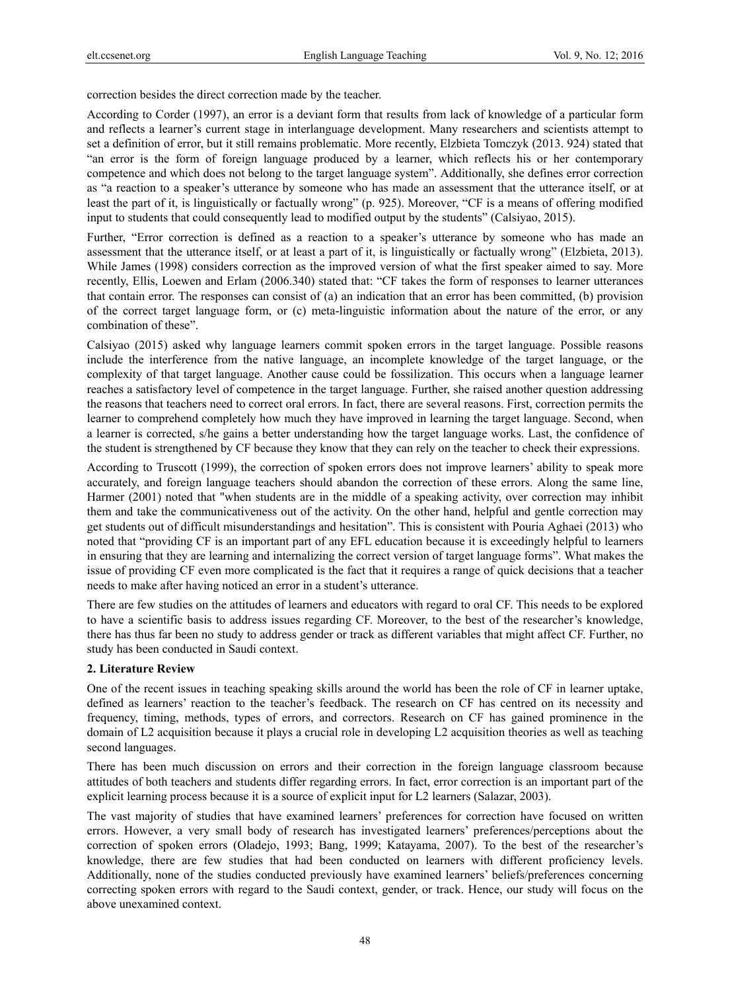correction besides the direct correction made by the teacher.

According to Corder (1997), an error is a deviant form that results from lack of knowledge of a particular form and reflects a learner's current stage in interlanguage development. Many researchers and scientists attempt to set a definition of error, but it still remains problematic. More recently, Elzbieta Tomczyk (2013. 924) stated that "an error is the form of foreign language produced by a learner, which reflects his or her contemporary competence and which does not belong to the target language system". Additionally, she defines error correction as "a reaction to a speaker's utterance by someone who has made an assessment that the utterance itself, or at least the part of it, is linguistically or factually wrong" (p. 925). Moreover, "CF is a means of offering modified input to students that could consequently lead to modified output by the students" (Calsiyao, 2015).

Further, "Error correction is defined as a reaction to a speaker's utterance by someone who has made an assessment that the utterance itself, or at least a part of it, is linguistically or factually wrong" (Elzbieta, 2013). While James (1998) considers correction as the improved version of what the first speaker aimed to say. More recently, Ellis, Loewen and Erlam (2006.340) stated that: "CF takes the form of responses to learner utterances that contain error. The responses can consist of (a) an indication that an error has been committed, (b) provision of the correct target language form, or (c) meta-linguistic information about the nature of the error, or any combination of these".

Calsiyao (2015) asked why language learners commit spoken errors in the target language. Possible reasons include the interference from the native language, an incomplete knowledge of the target language, or the complexity of that target language. Another cause could be fossilization. This occurs when a language learner reaches a satisfactory level of competence in the target language. Further, she raised another question addressing the reasons that teachers need to correct oral errors. In fact, there are several reasons. First, correction permits the learner to comprehend completely how much they have improved in learning the target language. Second, when a learner is corrected, s/he gains a better understanding how the target language works. Last, the confidence of the student is strengthened by CF because they know that they can rely on the teacher to check their expressions.

According to Truscott (1999), the correction of spoken errors does not improve learners' ability to speak more accurately, and foreign language teachers should abandon the correction of these errors. Along the same line, Harmer (2001) noted that "when students are in the middle of a speaking activity, over correction may inhibit them and take the communicativeness out of the activity. On the other hand, helpful and gentle correction may get students out of difficult misunderstandings and hesitation". This is consistent with Pouria Aghaei (2013) who noted that "providing CF is an important part of any EFL education because it is exceedingly helpful to learners in ensuring that they are learning and internalizing the correct version of target language forms". What makes the issue of providing CF even more complicated is the fact that it requires a range of quick decisions that a teacher needs to make after having noticed an error in a student's utterance.

There are few studies on the attitudes of learners and educators with regard to oral CF. This needs to be explored to have a scientific basis to address issues regarding CF. Moreover, to the best of the researcher's knowledge, there has thus far been no study to address gender or track as different variables that might affect CF. Further, no study has been conducted in Saudi context.

#### **2. Literature Review**

One of the recent issues in teaching speaking skills around the world has been the role of CF in learner uptake, defined as learners' reaction to the teacher's feedback. The research on CF has centred on its necessity and frequency, timing, methods, types of errors, and correctors. Research on CF has gained prominence in the domain of L2 acquisition because it plays a crucial role in developing L2 acquisition theories as well as teaching second languages.

There has been much discussion on errors and their correction in the foreign language classroom because attitudes of both teachers and students differ regarding errors. In fact, error correction is an important part of the explicit learning process because it is a source of explicit input for L2 learners (Salazar, 2003).

The vast majority of studies that have examined learners' preferences for correction have focused on written errors. However, a very small body of research has investigated learners' preferences/perceptions about the correction of spoken errors (Oladejo, 1993; Bang, 1999; Katayama, 2007). To the best of the researcher's knowledge, there are few studies that had been conducted on learners with different proficiency levels. Additionally, none of the studies conducted previously have examined learners' beliefs/preferences concerning correcting spoken errors with regard to the Saudi context, gender, or track. Hence, our study will focus on the above unexamined context.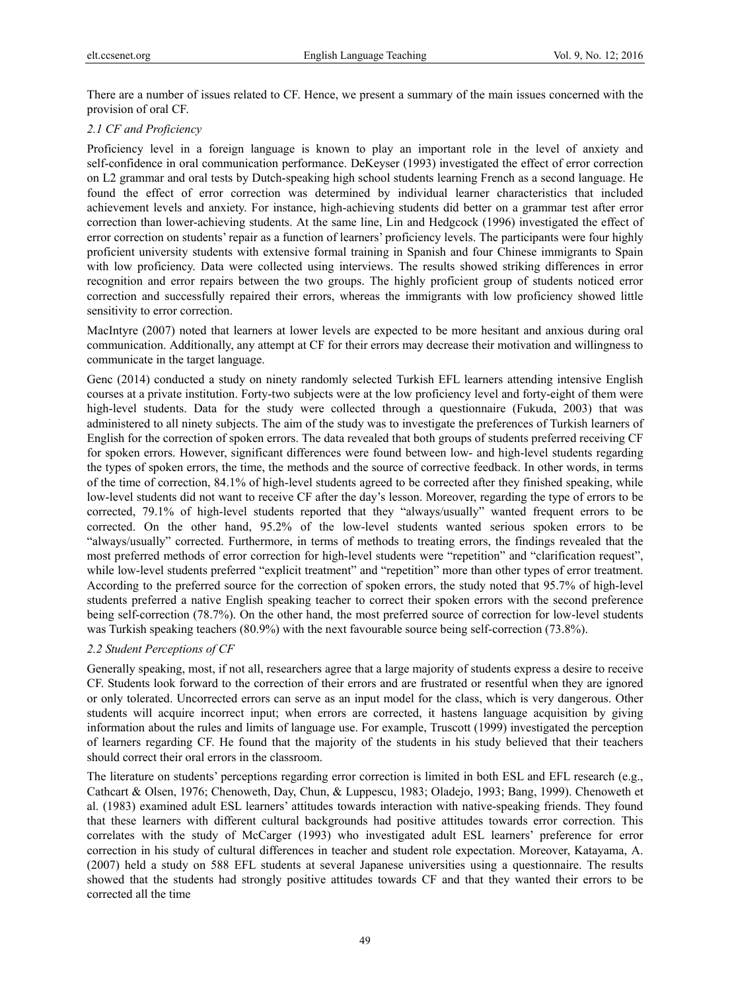There are a number of issues related to CF. Hence, we present a summary of the main issues concerned with the provision of oral CF.

## *2.1 CF and Proficiency*

Proficiency level in a foreign language is known to play an important role in the level of anxiety and self-confidence in oral communication performance. DeKeyser (1993) investigated the effect of error correction on L2 grammar and oral tests by Dutch-speaking high school students learning French as a second language. He found the effect of error correction was determined by individual learner characteristics that included achievement levels and anxiety. For instance, high-achieving students did better on a grammar test after error correction than lower-achieving students. At the same line, Lin and Hedgcock (1996) investigated the effect of error correction on students' repair as a function of learners' proficiency levels. The participants were four highly proficient university students with extensive formal training in Spanish and four Chinese immigrants to Spain with low proficiency. Data were collected using interviews. The results showed striking differences in error recognition and error repairs between the two groups. The highly proficient group of students noticed error correction and successfully repaired their errors, whereas the immigrants with low proficiency showed little sensitivity to error correction.

MacIntyre (2007) noted that learners at lower levels are expected to be more hesitant and anxious during oral communication. Additionally, any attempt at CF for their errors may decrease their motivation and willingness to communicate in the target language.

Genc (2014) conducted a study on ninety randomly selected Turkish EFL learners attending intensive English courses at a private institution. Forty-two subjects were at the low proficiency level and forty-eight of them were high-level students. Data for the study were collected through a questionnaire (Fukuda, 2003) that was administered to all ninety subjects. The aim of the study was to investigate the preferences of Turkish learners of English for the correction of spoken errors. The data revealed that both groups of students preferred receiving CF for spoken errors. However, significant differences were found between low- and high-level students regarding the types of spoken errors, the time, the methods and the source of corrective feedback. In other words, in terms of the time of correction, 84.1% of high-level students agreed to be corrected after they finished speaking, while low-level students did not want to receive CF after the day's lesson. Moreover, regarding the type of errors to be corrected, 79.1% of high-level students reported that they "always/usually" wanted frequent errors to be corrected. On the other hand, 95.2% of the low-level students wanted serious spoken errors to be "always/usually" corrected. Furthermore, in terms of methods to treating errors, the findings revealed that the most preferred methods of error correction for high-level students were "repetition" and "clarification request", while low-level students preferred "explicit treatment" and "repetition" more than other types of error treatment. According to the preferred source for the correction of spoken errors, the study noted that 95.7% of high-level students preferred a native English speaking teacher to correct their spoken errors with the second preference being self-correction (78.7%). On the other hand, the most preferred source of correction for low-level students was Turkish speaking teachers (80.9%) with the next favourable source being self-correction (73.8%).

## *2.2 Student Perceptions of CF*

Generally speaking, most, if not all, researchers agree that a large majority of students express a desire to receive CF. Students look forward to the correction of their errors and are frustrated or resentful when they are ignored or only tolerated. Uncorrected errors can serve as an input model for the class, which is very dangerous. Other students will acquire incorrect input; when errors are corrected, it hastens language acquisition by giving information about the rules and limits of language use. For example, Truscott (1999) investigated the perception of learners regarding CF. He found that the majority of the students in his study believed that their teachers should correct their oral errors in the classroom.

The literature on students' perceptions regarding error correction is limited in both ESL and EFL research (e.g., Cathcart & Olsen, 1976; Chenoweth, Day, Chun, & Luppescu, 1983; Oladejo, 1993; Bang, 1999). Chenoweth et al. (1983) examined adult ESL learners' attitudes towards interaction with native-speaking friends. They found that these learners with different cultural backgrounds had positive attitudes towards error correction. This correlates with the study of McCarger (1993) who investigated adult ESL learners' preference for error correction in his study of cultural differences in teacher and student role expectation. Moreover, Katayama, A. (2007) held a study on 588 EFL students at several Japanese universities using a questionnaire. The results showed that the students had strongly positive attitudes towards CF and that they wanted their errors to be corrected all the time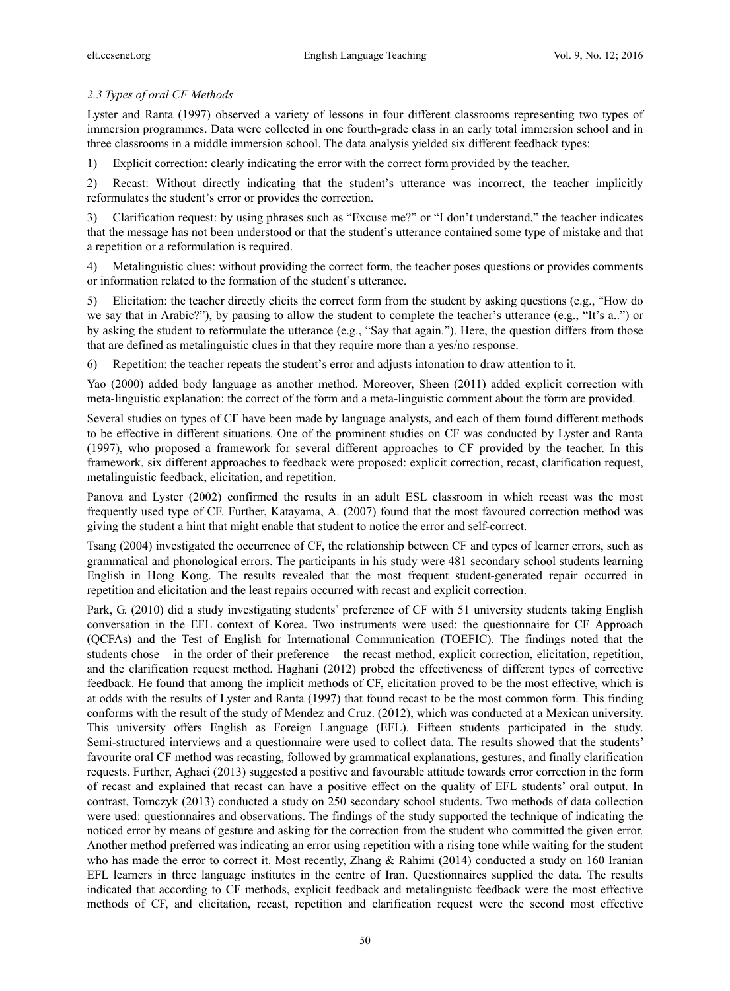# *2.3 Types of oral CF Methods*

Lyster and Ranta (1997) observed a variety of lessons in four different classrooms representing two types of immersion programmes. Data were collected in one fourth-grade class in an early total immersion school and in three classrooms in a middle immersion school. The data analysis yielded six different feedback types:

1) Explicit correction: clearly indicating the error with the correct form provided by the teacher.

2) Recast: Without directly indicating that the student's utterance was incorrect, the teacher implicitly reformulates the student's error or provides the correction.

3) Clarification request: by using phrases such as "Excuse me?" or "I don't understand," the teacher indicates that the message has not been understood or that the student's utterance contained some type of mistake and that a repetition or a reformulation is required.

4) Metalinguistic clues: without providing the correct form, the teacher poses questions or provides comments or information related to the formation of the student's utterance.

5) Elicitation: the teacher directly elicits the correct form from the student by asking questions (e.g., "How do we say that in Arabic?"), by pausing to allow the student to complete the teacher's utterance (e.g., "It's a..") or by asking the student to reformulate the utterance (e.g., "Say that again."). Here, the question differs from those that are defined as metalinguistic clues in that they require more than a yes/no response.

6) Repetition: the teacher repeats the student's error and adjusts intonation to draw attention to it.

Yao (2000) added body language as another method. Moreover, Sheen (2011) added explicit correction with meta-linguistic explanation: the correct of the form and a meta-linguistic comment about the form are provided.

Several studies on types of CF have been made by language analysts, and each of them found different methods to be effective in different situations. One of the prominent studies on CF was conducted by Lyster and Ranta (1997), who proposed a framework for several different approaches to CF provided by the teacher. In this framework, six different approaches to feedback were proposed: explicit correction, recast, clarification request, metalinguistic feedback, elicitation, and repetition.

Panova and Lyster (2002) confirmed the results in an adult ESL classroom in which recast was the most frequently used type of CF. Further, Katayama, A. (2007) found that the most favoured correction method was giving the student a hint that might enable that student to notice the error and self-correct.

Tsang (2004) investigated the occurrence of CF, the relationship between CF and types of learner errors, such as grammatical and phonological errors. The participants in his study were 481 secondary school students learning English in Hong Kong. The results revealed that the most frequent student-generated repair occurred in repetition and elicitation and the least repairs occurred with recast and explicit correction.

Park, G. (2010) did a study investigating students' preference of CF with 51 university students taking English conversation in the EFL context of Korea. Two instruments were used: the questionnaire for CF Approach (QCFAs) and the Test of English for International Communication (TOEFIC). The findings noted that the students chose – in the order of their preference – the recast method, explicit correction, elicitation, repetition, and the clarification request method. Haghani (2012) probed the effectiveness of different types of corrective feedback. He found that among the implicit methods of CF, elicitation proved to be the most effective, which is at odds with the results of Lyster and Ranta (1997) that found recast to be the most common form. This finding conforms with the result of the study of Mendez and Cruz. (2012), which was conducted at a Mexican university. This university offers English as Foreign Language (EFL). Fifteen students participated in the study. Semi-structured interviews and a questionnaire were used to collect data. The results showed that the students' favourite oral CF method was recasting, followed by grammatical explanations, gestures, and finally clarification requests. Further, Aghaei (2013) suggested a positive and favourable attitude towards error correction in the form of recast and explained that recast can have a positive effect on the quality of EFL students' oral output. In contrast, Tomczyk (2013) conducted a study on 250 secondary school students. Two methods of data collection were used: questionnaires and observations. The findings of the study supported the technique of indicating the noticed error by means of gesture and asking for the correction from the student who committed the given error. Another method preferred was indicating an error using repetition with a rising tone while waiting for the student who has made the error to correct it. Most recently, Zhang & Rahimi (2014) conducted a study on 160 Iranian EFL learners in three language institutes in the centre of Iran. Questionnaires supplied the data. The results indicated that according to CF methods, explicit feedback and metalinguistc feedback were the most effective methods of CF, and elicitation, recast, repetition and clarification request were the second most effective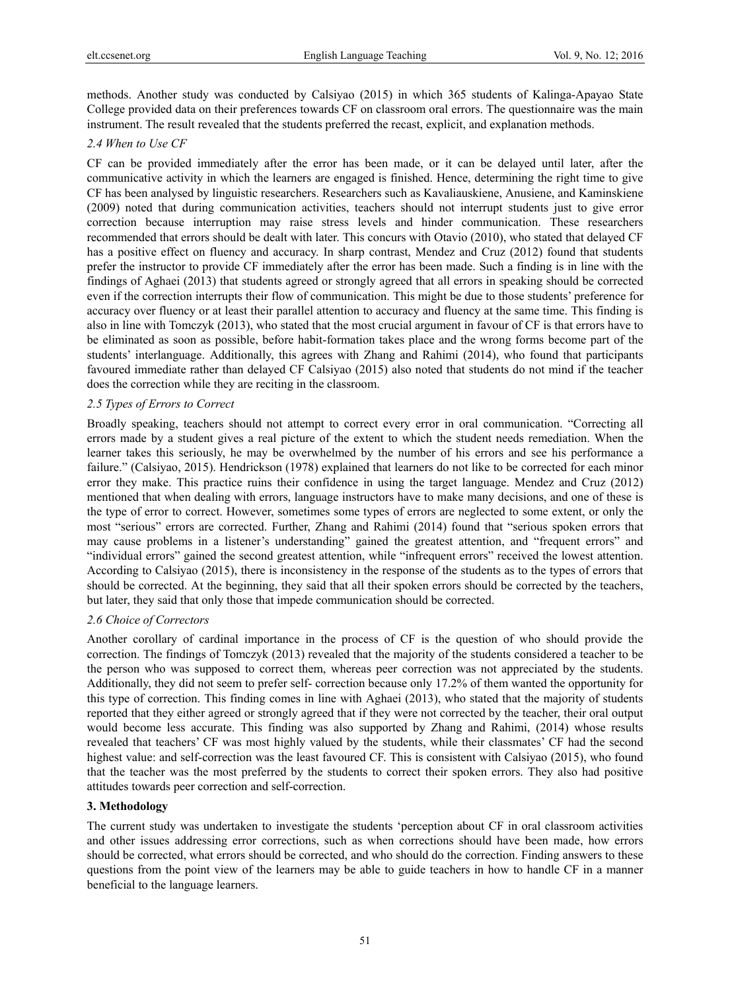methods. Another study was conducted by Calsiyao (2015) in which 365 students of Kalinga-Apayao State College provided data on their preferences towards CF on classroom oral errors. The questionnaire was the main instrument. The result revealed that the students preferred the recast, explicit, and explanation methods.

# *2.4 When to Use CF*

CF can be provided immediately after the error has been made, or it can be delayed until later, after the communicative activity in which the learners are engaged is finished. Hence, determining the right time to give CF has been analysed by linguistic researchers. Researchers such as Kavaliauskiene, Anusiene, and Kaminskiene (2009) noted that during communication activities, teachers should not interrupt students just to give error correction because interruption may raise stress levels and hinder communication. These researchers recommended that errors should be dealt with later. This concurs with Otavio (2010), who stated that delayed CF has a positive effect on fluency and accuracy. In sharp contrast, Mendez and Cruz (2012) found that students prefer the instructor to provide CF immediately after the error has been made. Such a finding is in line with the findings of Aghaei (2013) that students agreed or strongly agreed that all errors in speaking should be corrected even if the correction interrupts their flow of communication. This might be due to those students' preference for accuracy over fluency or at least their parallel attention to accuracy and fluency at the same time. This finding is also in line with Tomczyk (2013), who stated that the most crucial argument in favour of CF is that errors have to be eliminated as soon as possible, before habit-formation takes place and the wrong forms become part of the students' interlanguage. Additionally, this agrees with Zhang and Rahimi (2014), who found that participants favoured immediate rather than delayed CF Calsiyao (2015) also noted that students do not mind if the teacher does the correction while they are reciting in the classroom.

## *2.5 Types of Errors to Correct*

Broadly speaking, teachers should not attempt to correct every error in oral communication. "Correcting all errors made by a student gives a real picture of the extent to which the student needs remediation. When the learner takes this seriously, he may be overwhelmed by the number of his errors and see his performance a failure." (Calsiyao, 2015). Hendrickson (1978) explained that learners do not like to be corrected for each minor error they make. This practice ruins their confidence in using the target language. Mendez and Cruz (2012) mentioned that when dealing with errors, language instructors have to make many decisions, and one of these is the type of error to correct. However, sometimes some types of errors are neglected to some extent, or only the most "serious" errors are corrected. Further, Zhang and Rahimi (2014) found that "serious spoken errors that may cause problems in a listener's understanding" gained the greatest attention, and "frequent errors" and "individual errors" gained the second greatest attention, while "infrequent errors" received the lowest attention. According to Calsiyao (2015), there is inconsistency in the response of the students as to the types of errors that should be corrected. At the beginning, they said that all their spoken errors should be corrected by the teachers, but later, they said that only those that impede communication should be corrected.

## *2.6 Choice of Correctors*

Another corollary of cardinal importance in the process of CF is the question of who should provide the correction. The findings of Tomczyk (2013) revealed that the majority of the students considered a teacher to be the person who was supposed to correct them, whereas peer correction was not appreciated by the students. Additionally, they did not seem to prefer self- correction because only 17.2% of them wanted the opportunity for this type of correction. This finding comes in line with Aghaei (2013), who stated that the majority of students reported that they either agreed or strongly agreed that if they were not corrected by the teacher, their oral output would become less accurate. This finding was also supported by Zhang and Rahimi, (2014) whose results revealed that teachers' CF was most highly valued by the students, while their classmates' CF had the second highest value: and self-correction was the least favoured CF. This is consistent with Calsiyao (2015), who found that the teacher was the most preferred by the students to correct their spoken errors. They also had positive attitudes towards peer correction and self-correction.

## **3. Methodology**

The current study was undertaken to investigate the students 'perception about CF in oral classroom activities and other issues addressing error corrections, such as when corrections should have been made, how errors should be corrected, what errors should be corrected, and who should do the correction. Finding answers to these questions from the point view of the learners may be able to guide teachers in how to handle CF in a manner beneficial to the language learners.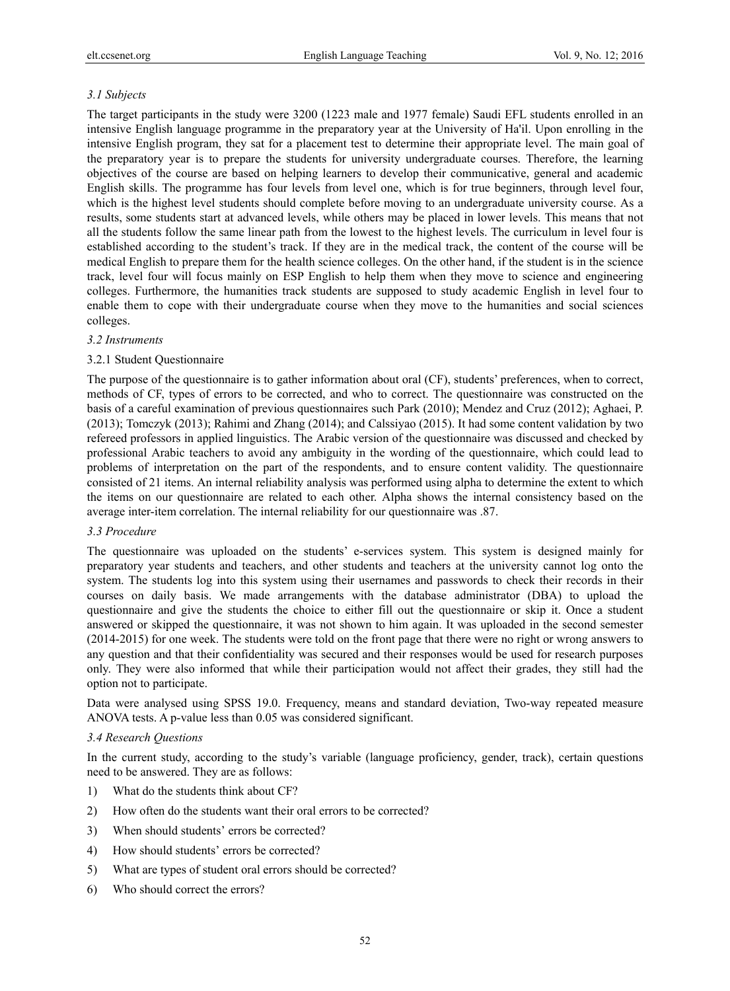## *3.1 Subjects*

The target participants in the study were 3200 (1223 male and 1977 female) Saudi EFL students enrolled in an intensive English language programme in the preparatory year at the University of Ha'il. Upon enrolling in the intensive English program, they sat for a placement test to determine their appropriate level. The main goal of the preparatory year is to prepare the students for university undergraduate courses. Therefore, the learning objectives of the course are based on helping learners to develop their communicative, general and academic English skills. The programme has four levels from level one, which is for true beginners, through level four, which is the highest level students should complete before moving to an undergraduate university course. As a results, some students start at advanced levels, while others may be placed in lower levels. This means that not all the students follow the same linear path from the lowest to the highest levels. The curriculum in level four is established according to the student's track. If they are in the medical track, the content of the course will be medical English to prepare them for the health science colleges. On the other hand, if the student is in the science track, level four will focus mainly on ESP English to help them when they move to science and engineering colleges. Furthermore, the humanities track students are supposed to study academic English in level four to enable them to cope with their undergraduate course when they move to the humanities and social sciences colleges.

#### *3.2 Instruments*

## 3.2.1 Student Questionnaire

The purpose of the questionnaire is to gather information about oral (CF), students' preferences, when to correct, methods of CF, types of errors to be corrected, and who to correct. The questionnaire was constructed on the basis of a careful examination of previous questionnaires such Park (2010); Mendez and Cruz (2012); Aghaei, P. (2013); Tomczyk (2013); Rahimi and Zhang (2014); and Calssiyao (2015). It had some content validation by two refereed professors in applied linguistics. The Arabic version of the questionnaire was discussed and checked by professional Arabic teachers to avoid any ambiguity in the wording of the questionnaire, which could lead to problems of interpretation on the part of the respondents, and to ensure content validity. The questionnaire consisted of 21 items. An internal reliability analysis was performed using alpha to determine the extent to which the items on our questionnaire are related to each other. Alpha shows the internal consistency based on the average inter-item correlation. The internal reliability for our questionnaire was .87.

#### *3.3 Procedure*

The questionnaire was uploaded on the students' e-services system. This system is designed mainly for preparatory year students and teachers, and other students and teachers at the university cannot log onto the system. The students log into this system using their usernames and passwords to check their records in their courses on daily basis. We made arrangements with the database administrator (DBA) to upload the questionnaire and give the students the choice to either fill out the questionnaire or skip it. Once a student answered or skipped the questionnaire, it was not shown to him again. It was uploaded in the second semester (2014-2015) for one week. The students were told on the front page that there were no right or wrong answers to any question and that their confidentiality was secured and their responses would be used for research purposes only. They were also informed that while their participation would not affect their grades, they still had the option not to participate.

Data were analysed using SPSS 19.0. Frequency, means and standard deviation, Two-way repeated measure ANOVA tests. A p-value less than 0.05 was considered significant.

#### *3.4 Research Questions*

In the current study, according to the study's variable (language proficiency, gender, track), certain questions need to be answered. They are as follows:

- 1) What do the students think about CF?
- 2) How often do the students want their oral errors to be corrected?
- 3) When should students' errors be corrected?
- 4) How should students' errors be corrected?
- 5) What are types of student oral errors should be corrected?
- 6) Who should correct the errors?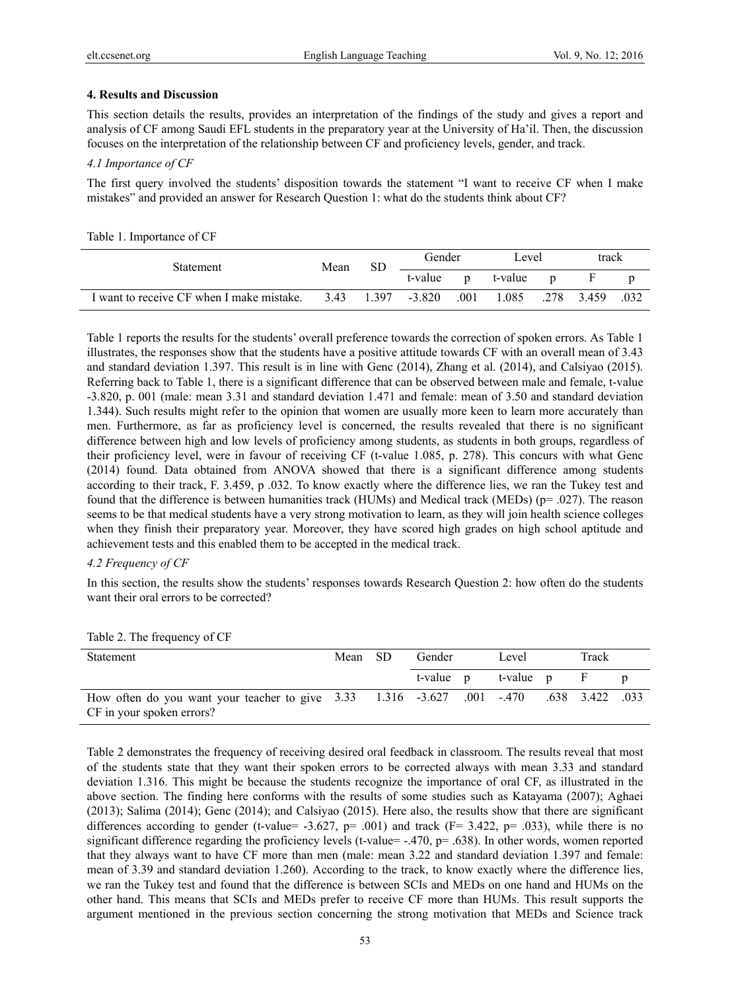## **4. Results and Discussion**

This section details the results, provides an interpretation of the findings of the study and gives a report and analysis of CF among Saudi EFL students in the preparatory year at the University of Ha'il. Then, the discussion focuses on the interpretation of the relationship between CF and proficiency levels, gender, and track.

## *4.1 Importance of CF*

The first query involved the students' disposition towards the statement "I want to receive CF when I make mistakes" and provided an answer for Research Question 1: what do the students think about CF?

|  | Table 1. Importance of CF |  |
|--|---------------------------|--|
|--|---------------------------|--|

| <b>Statement</b>                          | Mean | SD    | Gender    |      | Level   |  | track      |      |
|-------------------------------------------|------|-------|-----------|------|---------|--|------------|------|
|                                           |      |       | t-value p |      | t-value |  |            |      |
| I want to receive CF when I make mistake. | 3.43 | 1.397 | $-3.820$  | .001 | 1.085   |  | .278 3.459 | .032 |

Table 1 reports the results for the students' overall preference towards the correction of spoken errors. As Table 1 illustrates, the responses show that the students have a positive attitude towards CF with an overall mean of 3.43 and standard deviation 1.397. This result is in line with Genc (2014), Zhang et al. (2014), and Calsiyao (2015). Referring back to Table 1, there is a significant difference that can be observed between male and female, t-value -3.820, p. 001 (male: mean 3.31 and standard deviation 1.471 and female: mean of 3.50 and standard deviation 1.344). Such results might refer to the opinion that women are usually more keen to learn more accurately than men. Furthermore, as far as proficiency level is concerned, the results revealed that there is no significant difference between high and low levels of proficiency among students, as students in both groups, regardless of their proficiency level, were in favour of receiving CF (t-value 1.085, p. 278). This concurs with what Genc (2014) found. Data obtained from ANOVA showed that there is a significant difference among students according to their track, F. 3.459, p .032. To know exactly where the difference lies, we ran the Tukey test and found that the difference is between humanities track (HUMs) and Medical track (MEDs) (p= .027). The reason seems to be that medical students have a very strong motivation to learn, as they will join health science colleges when they finish their preparatory year. Moreover, they have scored high grades on high school aptitude and achievement tests and this enabled them to be accepted in the medical track.

## *4.2 Frequency of CF*

In this section, the results show the students' responses towards Research Question 2: how often do the students want their oral errors to be corrected?

| $14016$ $\angle$ . The Hequelly Of CF                                                                  |         |                 |  |           |            |      |
|--------------------------------------------------------------------------------------------------------|---------|-----------------|--|-----------|------------|------|
| Statement                                                                                              | Mean SD | Gender<br>Level |  | Track     |            |      |
|                                                                                                        |         | t-value p       |  | t-value p | F          |      |
| How often do you want your teacher to give $3.33$ 1.316 -3.627 .001 -.470<br>CF in your spoken errors? |         |                 |  |           | .638 3.422 | .033 |

Table 2. The frequency of CF

Table 2 demonstrates the frequency of receiving desired oral feedback in classroom. The results reveal that most of the students state that they want their spoken errors to be corrected always with mean 3.33 and standard deviation 1.316. This might be because the students recognize the importance of oral CF, as illustrated in the above section. The finding here conforms with the results of some studies such as Katayama (2007); Aghaei (2013); Salima (2014); Genc (2014); and Calsiyao (2015). Here also, the results show that there are significant differences according to gender (t-value= -3.627, p= .001) and track (F= 3.422, p= .033), while there is no significant difference regarding the proficiency levels (t-value= -.470, p= .638). In other words, women reported that they always want to have CF more than men (male: mean 3.22 and standard deviation 1.397 and female: mean of 3.39 and standard deviation 1.260). According to the track, to know exactly where the difference lies, we ran the Tukey test and found that the difference is between SCIs and MEDs on one hand and HUMs on the other hand. This means that SCIs and MEDs prefer to receive CF more than HUMs. This result supports the argument mentioned in the previous section concerning the strong motivation that MEDs and Science track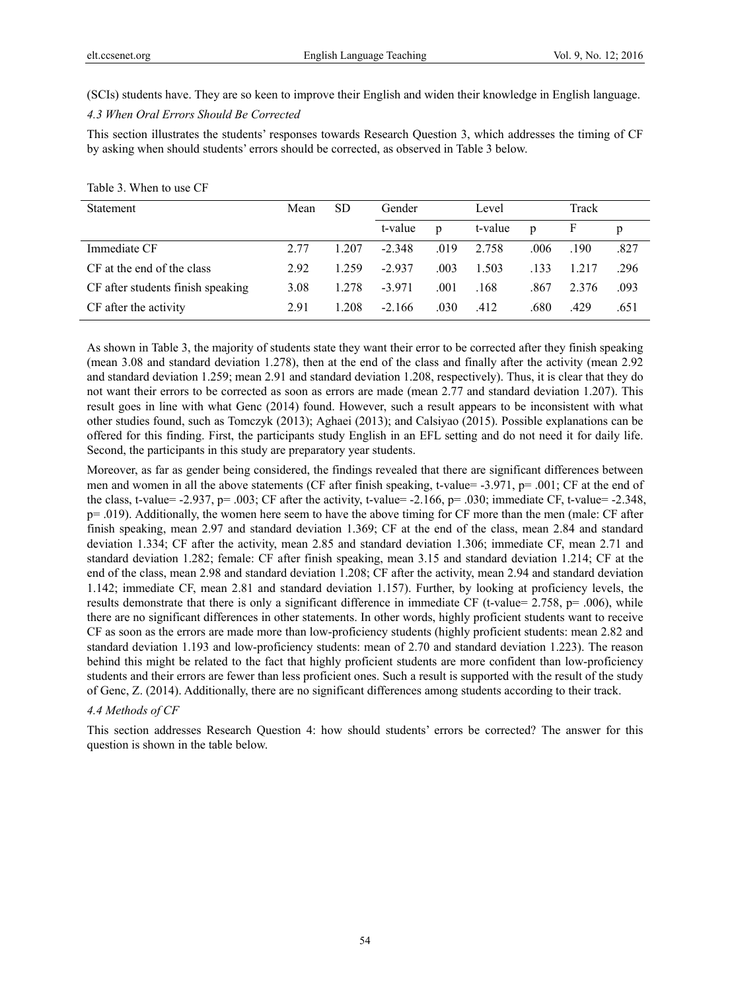(SCIs) students have. They are so keen to improve their English and widen their knowledge in English language.

#### *4.3 When Oral Errors Should Be Corrected*

This section illustrates the students' responses towards Research Question 3, which addresses the timing of CF by asking when should students' errors should be corrected, as observed in Table 3 below.

| Table 3. When to use CF           |      |         |          |      |         |      |         |      |
|-----------------------------------|------|---------|----------|------|---------|------|---------|------|
| <b>Statement</b>                  | Mean | SD      | Gender   |      | Level   |      | Track   |      |
|                                   |      |         | t-value  | p    | t-value | p    | F       | p    |
| Immediate CF                      | 2.77 | 1 207   | $-2.348$ | .019 | 2.758   | .006 | .190    | .827 |
| CF at the end of the class        | 292  | 1 2 5 9 | $-2937$  | .003 | 1.503   | .133 | 1 2 1 7 | .296 |
| CF after students finish speaking | 3.08 | 1 278   | $-3.971$ | .001 | .168    | .867 | 2.376   | .093 |
| CF after the activity             | 2.91 | 1.208   | $-2.166$ | .030 | .412    | .680 | .429    | .651 |

As shown in Table 3, the majority of students state they want their error to be corrected after they finish speaking (mean 3.08 and standard deviation 1.278), then at the end of the class and finally after the activity (mean 2.92 and standard deviation 1.259; mean 2.91 and standard deviation 1.208, respectively). Thus, it is clear that they do not want their errors to be corrected as soon as errors are made (mean 2.77 and standard deviation 1.207). This result goes in line with what Genc (2014) found. However, such a result appears to be inconsistent with what other studies found, such as Tomczyk (2013); Aghaei (2013); and Calsiyao (2015). Possible explanations can be offered for this finding. First, the participants study English in an EFL setting and do not need it for daily life. Second, the participants in this study are preparatory year students.

Moreover, as far as gender being considered, the findings revealed that there are significant differences between men and women in all the above statements (CF after finish speaking, t-value= -3.971, p= .001; CF at the end of the class, t-value=  $-2.937$ , p= .003; CF after the activity, t-value=  $-2.166$ , p= .030; immediate CF, t-value=  $-2.348$ , p= .019). Additionally, the women here seem to have the above timing for CF more than the men (male: CF after finish speaking, mean 2.97 and standard deviation 1.369; CF at the end of the class, mean 2.84 and standard deviation 1.334; CF after the activity, mean 2.85 and standard deviation 1.306; immediate CF, mean 2.71 and standard deviation 1.282; female: CF after finish speaking, mean 3.15 and standard deviation 1.214; CF at the end of the class, mean 2.98 and standard deviation 1.208; CF after the activity, mean 2.94 and standard deviation 1.142; immediate CF, mean 2.81 and standard deviation 1.157). Further, by looking at proficiency levels, the results demonstrate that there is only a significant difference in immediate CF (t-value=  $2.758$ , p= .006), while there are no significant differences in other statements. In other words, highly proficient students want to receive CF as soon as the errors are made more than low-proficiency students (highly proficient students: mean 2.82 and standard deviation 1.193 and low-proficiency students: mean of 2.70 and standard deviation 1.223). The reason behind this might be related to the fact that highly proficient students are more confident than low-proficiency students and their errors are fewer than less proficient ones. Such a result is supported with the result of the study of Genc, Z. (2014). Additionally, there are no significant differences among students according to their track.

#### *4.4 Methods of CF*

This section addresses Research Question 4: how should students' errors be corrected? The answer for this question is shown in the table below.

54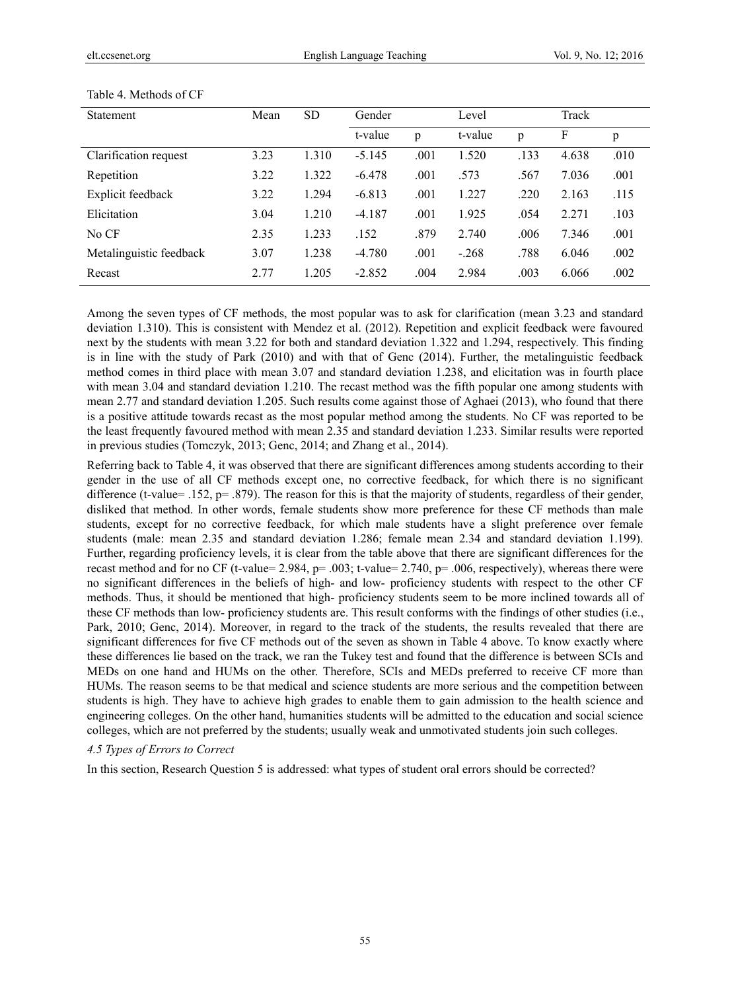| <b>Statement</b>        | Mean | <b>SD</b> | Gender   |      | Level   |      | Track |      |
|-------------------------|------|-----------|----------|------|---------|------|-------|------|
|                         |      |           | t-value  | p    | t-value | p    | F     | p    |
| Clarification request   | 3.23 | 1.310     | $-5.145$ | .001 | 1.520   | .133 | 4.638 | .010 |
| Repetition              | 3.22 | 1.322     | $-6.478$ | .001 | .573    | .567 | 7.036 | .001 |
| Explicit feedback       | 3.22 | 1.294     | $-6.813$ | .001 | 1.227   | .220 | 2.163 | .115 |
| Elicitation             | 3.04 | 1.210     | $-4.187$ | .001 | 1.925   | .054 | 2.271 | .103 |
| No CF                   | 2.35 | 1.233     | .152     | .879 | 2.740   | .006 | 7.346 | .001 |
| Metalinguistic feedback | 3.07 | 1.238     | $-4.780$ | .001 | $-.268$ | .788 | 6.046 | .002 |
| Recast                  | 2.77 | 1.205     | $-2.852$ | .004 | 2.984   | .003 | 6.066 | .002 |

#### Table 4. Methods of CF

Among the seven types of CF methods, the most popular was to ask for clarification (mean 3.23 and standard deviation 1.310). This is consistent with Mendez et al. (2012). Repetition and explicit feedback were favoured next by the students with mean 3.22 for both and standard deviation 1.322 and 1.294, respectively. This finding is in line with the study of Park (2010) and with that of Genc (2014). Further, the metalinguistic feedback method comes in third place with mean 3.07 and standard deviation 1.238, and elicitation was in fourth place with mean 3.04 and standard deviation 1.210. The recast method was the fifth popular one among students with mean 2.77 and standard deviation 1.205. Such results come against those of Aghaei (2013), who found that there is a positive attitude towards recast as the most popular method among the students. No CF was reported to be the least frequently favoured method with mean 2.35 and standard deviation 1.233. Similar results were reported in previous studies (Tomczyk, 2013; Genc, 2014; and Zhang et al., 2014).

Referring back to Table 4, it was observed that there are significant differences among students according to their gender in the use of all CF methods except one, no corrective feedback, for which there is no significant difference (t-value= .152,  $p = .879$ ). The reason for this is that the majority of students, regardless of their gender, disliked that method. In other words, female students show more preference for these CF methods than male students, except for no corrective feedback, for which male students have a slight preference over female students (male: mean 2.35 and standard deviation 1.286; female mean 2.34 and standard deviation 1.199). Further, regarding proficiency levels, it is clear from the table above that there are significant differences for the recast method and for no CF (t-value= 2.984, p= .003; t-value= 2.740, p= .006, respectively), whereas there were no significant differences in the beliefs of high- and low- proficiency students with respect to the other CF methods. Thus, it should be mentioned that high- proficiency students seem to be more inclined towards all of these CF methods than low- proficiency students are. This result conforms with the findings of other studies (i.e., Park, 2010; Genc, 2014). Moreover, in regard to the track of the students, the results revealed that there are significant differences for five CF methods out of the seven as shown in Table 4 above. To know exactly where these differences lie based on the track, we ran the Tukey test and found that the difference is between SCIs and MEDs on one hand and HUMs on the other. Therefore, SCIs and MEDs preferred to receive CF more than HUMs. The reason seems to be that medical and science students are more serious and the competition between students is high. They have to achieve high grades to enable them to gain admission to the health science and engineering colleges. On the other hand, humanities students will be admitted to the education and social science colleges, which are not preferred by the students; usually weak and unmotivated students join such colleges.

#### *4.5 Types of Errors to Correct*

In this section, Research Question 5 is addressed: what types of student oral errors should be corrected?

55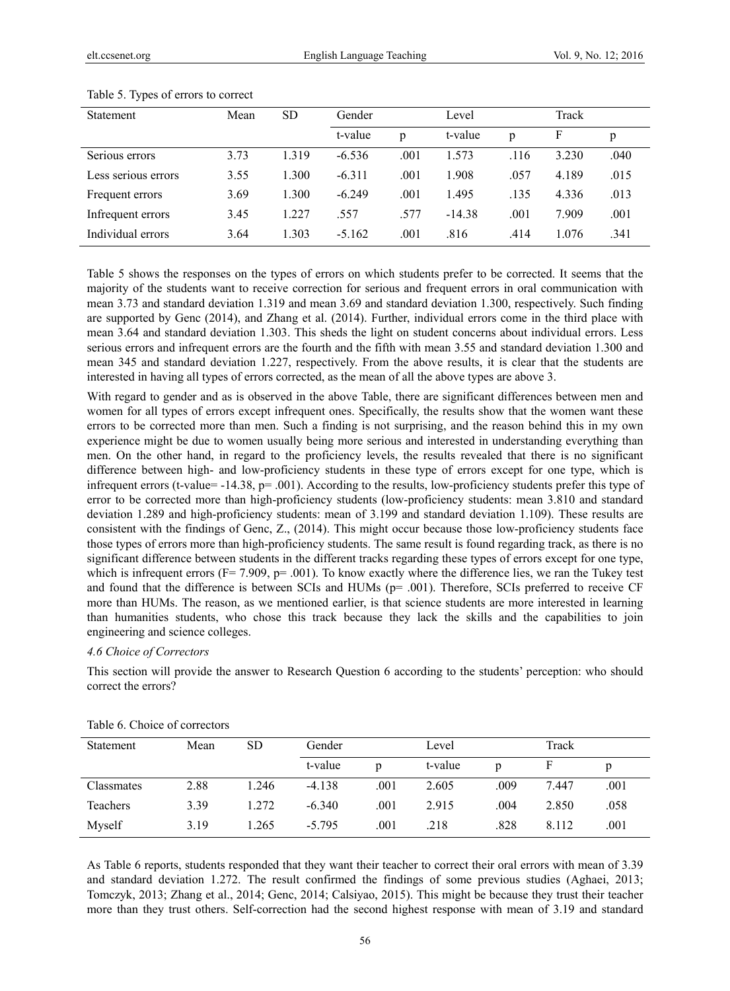| <b>Statement</b>    | Mean | <b>SD</b> | Gender   |      | Level    |      | Track |      |
|---------------------|------|-----------|----------|------|----------|------|-------|------|
|                     |      |           | t-value  | p    | t-value  | p    | F     | p    |
| Serious errors      | 3.73 | 1.319     | $-6.536$ | .001 | 1.573    | .116 | 3.230 | .040 |
| Less serious errors | 3.55 | 1.300     | $-6.311$ | .001 | 1.908    | .057 | 4.189 | .015 |
| Frequent errors     | 3.69 | 1.300     | $-6.249$ | .001 | 1.495    | .135 | 4.336 | .013 |
| Infrequent errors   | 3.45 | 1.227     | .557     | .577 | $-14.38$ | .001 | 7.909 | .001 |
| Individual errors   | 3.64 | 1.303     | $-5.162$ | .001 | .816     | .414 | 1.076 | .341 |

#### Table 5. Types of errors to correct

Table 5 shows the responses on the types of errors on which students prefer to be corrected. It seems that the majority of the students want to receive correction for serious and frequent errors in oral communication with mean 3.73 and standard deviation 1.319 and mean 3.69 and standard deviation 1.300, respectively. Such finding are supported by Genc (2014), and Zhang et al. (2014). Further, individual errors come in the third place with mean 3.64 and standard deviation 1.303. This sheds the light on student concerns about individual errors. Less serious errors and infrequent errors are the fourth and the fifth with mean 3.55 and standard deviation 1.300 and mean 345 and standard deviation 1.227, respectively. From the above results, it is clear that the students are interested in having all types of errors corrected, as the mean of all the above types are above 3.

With regard to gender and as is observed in the above Table, there are significant differences between men and women for all types of errors except infrequent ones. Specifically, the results show that the women want these errors to be corrected more than men. Such a finding is not surprising, and the reason behind this in my own experience might be due to women usually being more serious and interested in understanding everything than men. On the other hand, in regard to the proficiency levels, the results revealed that there is no significant difference between high- and low-proficiency students in these type of errors except for one type, which is infrequent errors (t-value= -14.38, p= .001). According to the results, low-proficiency students prefer this type of error to be corrected more than high-proficiency students (low-proficiency students: mean 3.810 and standard deviation 1.289 and high-proficiency students: mean of 3.199 and standard deviation 1.109). These results are consistent with the findings of Genc, Z., (2014). This might occur because those low-proficiency students face those types of errors more than high-proficiency students. The same result is found regarding track, as there is no significant difference between students in the different tracks regarding these types of errors except for one type, which is infrequent errors ( $F = 7.909$ ,  $p = .001$ ). To know exactly where the difference lies, we ran the Tukey test and found that the difference is between SCIs and HUMs (p= .001). Therefore, SCIs preferred to receive CF more than HUMs. The reason, as we mentioned earlier, is that science students are more interested in learning than humanities students, who chose this track because they lack the skills and the capabilities to join engineering and science colleges.

#### *4.6 Choice of Correctors*

This section will provide the answer to Research Question 6 according to the students' perception: who should correct the errors?

| Statement       | Mean | <b>SD</b> | Gender   |      | Level   |      | Track |      |  |
|-----------------|------|-----------|----------|------|---------|------|-------|------|--|
|                 |      |           | t-value  | p    | t-value | D    |       | D.   |  |
| Classmates      | 2.88 | 1.246     | $-4.138$ | .001 | 2.605   | .009 | 7.447 | .001 |  |
| <b>Teachers</b> | 3.39 | 1.272     | $-6.340$ | .001 | 2.915   | .004 | 2.850 | .058 |  |
| Myself          | 3.19 | 1.265     | $-5.795$ | .001 | .218    | .828 | 8.112 | .001 |  |

# Table 6. Choice of correctors

As Table 6 reports, students responded that they want their teacher to correct their oral errors with mean of 3.39 and standard deviation 1.272. The result confirmed the findings of some previous studies (Aghaei, 2013; Tomczyk, 2013; Zhang et al., 2014; Genc, 2014; Calsiyao, 2015). This might be because they trust their teacher more than they trust others. Self-correction had the second highest response with mean of 3.19 and standard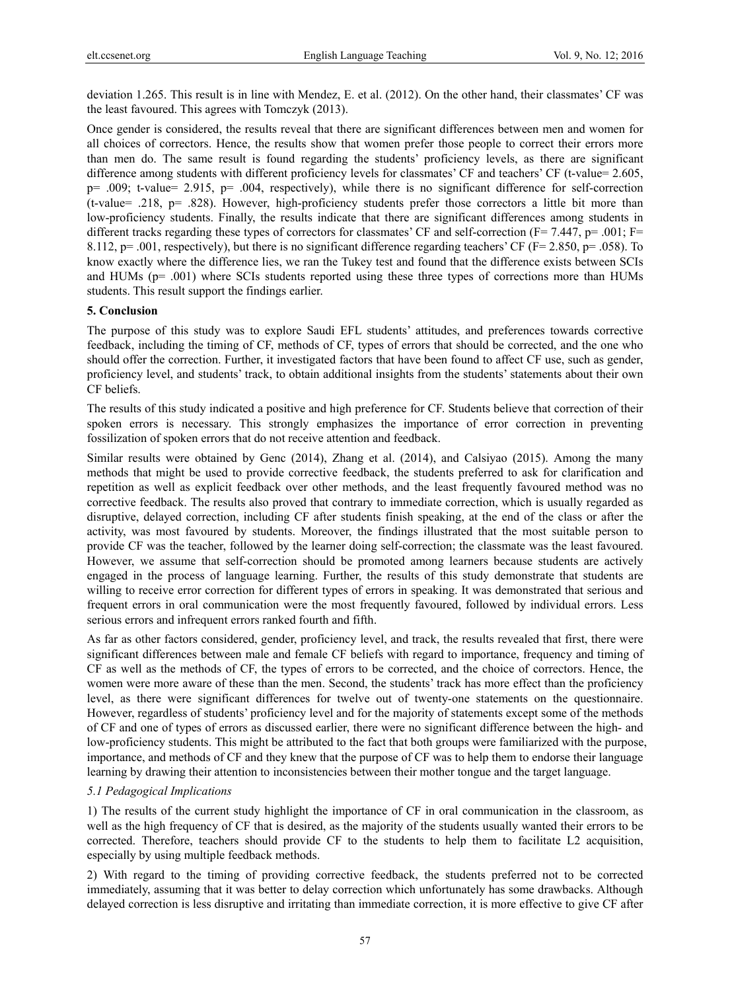deviation 1.265. This result is in line with Mendez, E. et al. (2012). On the other hand, their classmates' CF was the least favoured. This agrees with Tomczyk (2013).

Once gender is considered, the results reveal that there are significant differences between men and women for all choices of correctors. Hence, the results show that women prefer those people to correct their errors more than men do. The same result is found regarding the students' proficiency levels, as there are significant difference among students with different proficiency levels for classmates' CF and teachers' CF (t-value= 2.605, p= .009; t-value= 2.915, p= .004, respectively), while there is no significant difference for self-correction (t-value= .218, p= .828). However, high-proficiency students prefer those correctors a little bit more than low-proficiency students. Finally, the results indicate that there are significant differences among students in different tracks regarding these types of correctors for classmates' CF and self-correction ( $F = 7.447$ ,  $p = .001$ ;  $F =$ 8.112,  $p = .001$ , respectively), but there is no significant difference regarding teachers' CF (F= 2.850,  $p = .058$ ). To know exactly where the difference lies, we ran the Tukey test and found that the difference exists between SCIs and HUMs (p= .001) where SCIs students reported using these three types of corrections more than HUMs students. This result support the findings earlier.

## **5. Conclusion**

The purpose of this study was to explore Saudi EFL students' attitudes, and preferences towards corrective feedback, including the timing of CF, methods of CF, types of errors that should be corrected, and the one who should offer the correction. Further, it investigated factors that have been found to affect CF use, such as gender, proficiency level, and students' track, to obtain additional insights from the students' statements about their own CF beliefs.

The results of this study indicated a positive and high preference for CF. Students believe that correction of their spoken errors is necessary. This strongly emphasizes the importance of error correction in preventing fossilization of spoken errors that do not receive attention and feedback.

Similar results were obtained by Genc (2014), Zhang et al. (2014), and Calsiyao (2015). Among the many methods that might be used to provide corrective feedback, the students preferred to ask for clarification and repetition as well as explicit feedback over other methods, and the least frequently favoured method was no corrective feedback. The results also proved that contrary to immediate correction, which is usually regarded as disruptive, delayed correction, including CF after students finish speaking, at the end of the class or after the activity, was most favoured by students. Moreover, the findings illustrated that the most suitable person to provide CF was the teacher, followed by the learner doing self-correction; the classmate was the least favoured. However, we assume that self-correction should be promoted among learners because students are actively engaged in the process of language learning. Further, the results of this study demonstrate that students are willing to receive error correction for different types of errors in speaking. It was demonstrated that serious and frequent errors in oral communication were the most frequently favoured, followed by individual errors. Less serious errors and infrequent errors ranked fourth and fifth.

As far as other factors considered, gender, proficiency level, and track, the results revealed that first, there were significant differences between male and female CF beliefs with regard to importance, frequency and timing of CF as well as the methods of CF, the types of errors to be corrected, and the choice of correctors. Hence, the women were more aware of these than the men. Second, the students' track has more effect than the proficiency level, as there were significant differences for twelve out of twenty-one statements on the questionnaire. However, regardless of students' proficiency level and for the majority of statements except some of the methods of CF and one of types of errors as discussed earlier, there were no significant difference between the high- and low-proficiency students. This might be attributed to the fact that both groups were familiarized with the purpose, importance, and methods of CF and they knew that the purpose of CF was to help them to endorse their language learning by drawing their attention to inconsistencies between their mother tongue and the target language.

## *5.1 Pedagogical Implications*

1) The results of the current study highlight the importance of CF in oral communication in the classroom, as well as the high frequency of CF that is desired, as the majority of the students usually wanted their errors to be corrected. Therefore, teachers should provide CF to the students to help them to facilitate L2 acquisition, especially by using multiple feedback methods.

2) With regard to the timing of providing corrective feedback, the students preferred not to be corrected immediately, assuming that it was better to delay correction which unfortunately has some drawbacks. Although delayed correction is less disruptive and irritating than immediate correction, it is more effective to give CF after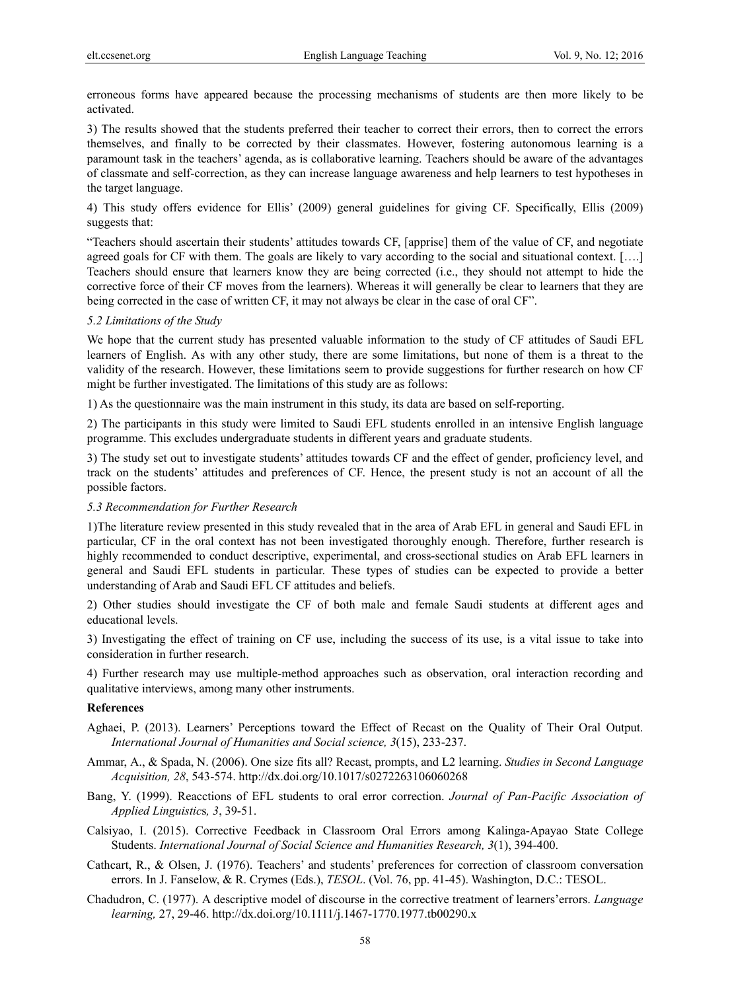erroneous forms have appeared because the processing mechanisms of students are then more likely to be activated.

3) The results showed that the students preferred their teacher to correct their errors, then to correct the errors themselves, and finally to be corrected by their classmates. However, fostering autonomous learning is a paramount task in the teachers' agenda, as is collaborative learning. Teachers should be aware of the advantages of classmate and self-correction, as they can increase language awareness and help learners to test hypotheses in the target language.

4) This study offers evidence for Ellis' (2009) general guidelines for giving CF. Specifically, Ellis (2009) suggests that:

"Teachers should ascertain their students' attitudes towards CF, [apprise] them of the value of CF, and negotiate agreed goals for CF with them. The goals are likely to vary according to the social and situational context. [….] Teachers should ensure that learners know they are being corrected (i.e., they should not attempt to hide the corrective force of their CF moves from the learners). Whereas it will generally be clear to learners that they are being corrected in the case of written CF, it may not always be clear in the case of oral CF".

#### *5.2 Limitations of the Study*

We hope that the current study has presented valuable information to the study of CF attitudes of Saudi EFL learners of English. As with any other study, there are some limitations, but none of them is a threat to the validity of the research. However, these limitations seem to provide suggestions for further research on how CF might be further investigated. The limitations of this study are as follows:

1) As the questionnaire was the main instrument in this study, its data are based on self-reporting.

2) The participants in this study were limited to Saudi EFL students enrolled in an intensive English language programme. This excludes undergraduate students in different years and graduate students.

3) The study set out to investigate students' attitudes towards CF and the effect of gender, proficiency level, and track on the students' attitudes and preferences of CF. Hence, the present study is not an account of all the possible factors.

#### *5.3 Recommendation for Further Research*

1)The literature review presented in this study revealed that in the area of Arab EFL in general and Saudi EFL in particular, CF in the oral context has not been investigated thoroughly enough. Therefore, further research is highly recommended to conduct descriptive, experimental, and cross-sectional studies on Arab EFL learners in general and Saudi EFL students in particular. These types of studies can be expected to provide a better understanding of Arab and Saudi EFL CF attitudes and beliefs.

2) Other studies should investigate the CF of both male and female Saudi students at different ages and educational levels.

3) Investigating the effect of training on CF use, including the success of its use, is a vital issue to take into consideration in further research.

4) Further research may use multiple-method approaches such as observation, oral interaction recording and qualitative interviews, among many other instruments.

#### **References**

- Aghaei, P. (2013). Learners' Perceptions toward the Effect of Recast on the Quality of Their Oral Output. *International Journal of Humanities and Social science, 3*(15), 233-237.
- Ammar, A., & Spada, N. (2006). One size fits all? Recast, prompts, and L2 learning. *Studies in Second Language Acquisition, 28*, 543-574. http://dx.doi.org/10.1017/s0272263106060268
- Bang, Y. (1999). Reacctions of EFL students to oral error correction. *Journal of Pan-Pacific Association of Applied Linguistic*s*, 3*, 39-51.
- Calsiyao, I. (2015). Corrective Feedback in Classroom Oral Errors among Kalinga-Apayao State College Students. *International Journal of Social Science and Humanities Research, 3*(1), 394-400.
- Cathcart, R., & Olsen, J. (1976). Teachers' and students' preferences for correction of classroom conversation errors. In J. Fanselow, & R. Crymes (Eds.), *TESOL*. (Vol. 76, pp. 41-45). Washington, D.C.: TESOL.
- Chadudron, C. (1977). A descriptive model of discourse in the corrective treatment of learners'errors. *Language learning,* 27, 29-46. http://dx.doi.org/10.1111/j.1467-1770.1977.tb00290.x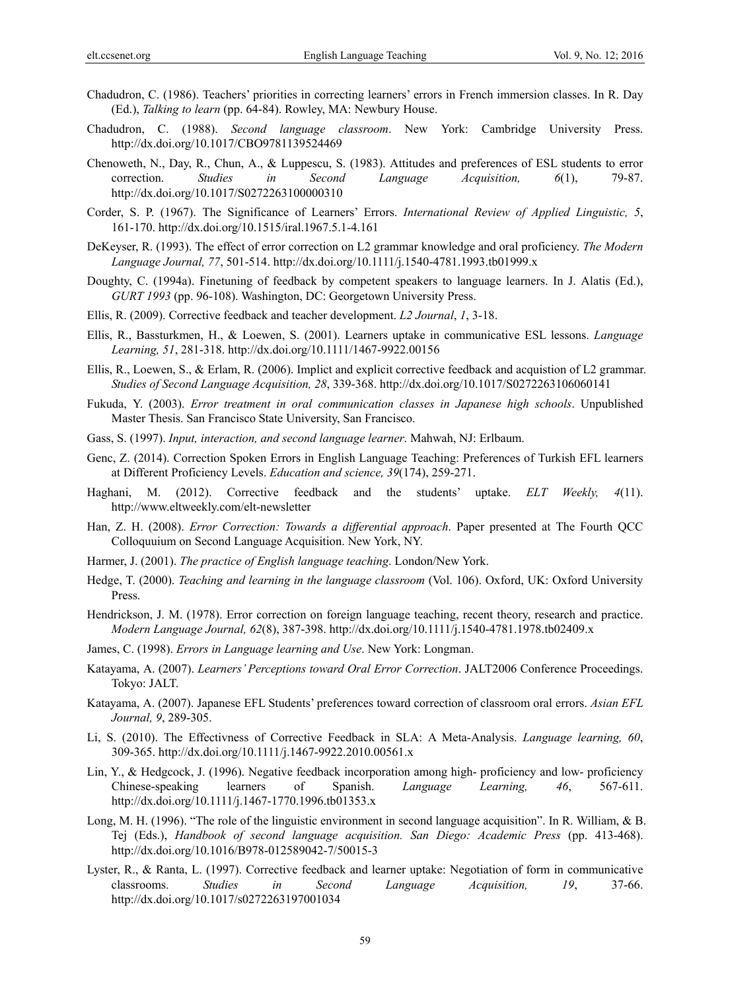- Chadudron, C. (1986). Teachers' priorities in correcting learners' errors in French immersion classes. In R. Day (Ed.), *Talking to learn* (pp. 64-84). Rowley, MA: Newbury House.
- Chadudron, C. (1988). *Second language classroom*. New York: Cambridge University Press. http://dx.doi.org/10.1017/CBO9781139524469
- Chenoweth, N., Day, R., Chun, A., & Luppescu, S. (1983). Attitudes and preferences of ESL students to error correction. *Studies in Second Language Acquisition, 6*(1), 79-87. http://dx.doi.org/10.1017/S0272263100000310
- Corder, S. P. (1967). The Significance of Learners' Errors. *International Review of Applied Linguistic, 5*, 161-170. http://dx.doi.org/10.1515/iral.1967.5.1-4.161
- DeKeyser, R. (1993). The effect of error correction on L2 grammar knowledge and oral proficiency. *The Modern Language Journal, 77*, 501-514. http://dx.doi.org/10.1111/j.1540-4781.1993.tb01999.x
- Doughty, C. (1994a). Finetuning of feedback by competent speakers to language learners. In J. Alatis (Ed.), *GURT 1993* (pp. 96-108). Washington, DC: Georgetown University Press.
- Ellis, R. (2009). Corrective feedback and teacher development. *L2 Journal*, *1*, 3-18.
- Ellis, R., Bassturkmen, H., & Loewen, S. (2001). Learners uptake in communicative ESL lessons. *Language Learning, 51*, 281-318. http://dx.doi.org/10.1111/1467-9922.00156
- Ellis, R., Loewen, S., & Erlam, R. (2006). Implict and explicit corrective feedback and acquistion of L2 grammar. *Studies of Second Language Acquisition, 28*, 339-368. http://dx.doi.org/10.1017/S0272263106060141
- Fukuda, Y. (2003). *Error treatment in oral communication classes in Japanese high schools*. Unpublished Master Thesis. San Francisco State University, San Francisco.
- Gass, S. (1997). *Input, interaction, and second language learner*. Mahwah, NJ: Erlbaum.
- Genc, Z. (2014). Correction Spoken Errors in English Language Teaching: Preferences of Turkish EFL learners at Different Proficiency Levels. *Education and science, 39*(174), 259-271.
- Haghani, M. (2012). Corrective feedback and the students' uptake. *ELT Weekly, 4*(11). http://www.eltweekly.com/elt-newsletter
- Han, Z. H. (2008). *Error Correction: Towards a differential approach*. Paper presented at The Fourth QCC Colloquuium on Second Language Acquisition. New York, NY.
- Harmer, J. (2001). *The practice of English language teaching*. London/New York.
- Hedge, T. (2000). *Teaching and learning in the language classroom* (Vol. 106). Oxford, UK: Oxford University Press.
- Hendrickson, J. M. (1978). Error correction on foreign language teaching, recent theory, research and practice. *Modern Language Journal, 62*(8), 387-398. http://dx.doi.org/10.1111/j.1540-4781.1978.tb02409.x
- James, C. (1998). *Errors in Language learning and Use*. New York: Longman.
- Katayama, A. (2007). *Learners' Perceptions toward Oral Error Correction*. JALT2006 Conference Proceedings. Tokyo: JALT.
- Katayama, A. (2007). Japanese EFL Students' preferences toward correction of classroom oral errors. *Asian EFL Journal, 9*, 289-305.
- Li, S. (2010). The Effectivness of Corrective Feedback in SLA: A Meta-Analysis. *Language learning, 60*, 309-365. http://dx.doi.org/10.1111/j.1467-9922.2010.00561.x
- Lin, Y., & Hedgcock, J. (1996). Negative feedback incorporation among high- proficiency and low- proficiency Chinese-speaking learners of Spanish. *Language Learning, 46*, 567-611. http://dx.doi.org/10.1111/j.1467-1770.1996.tb01353.x
- Long, M. H. (1996). "The role of the linguistic environment in second language acquisition". In R. William, & B. Tej (Eds.), *Handbook of second language acquisition. San Diego: Academic Press* (pp. 413-468). http://dx.doi.org/10.1016/B978-012589042-7/50015-3
- Lyster, R., & Ranta, L. (1997). Corrective feedback and learner uptake: Negotiation of form in communicative classrooms. *Studies in Second Language Acquisition, 19*, 37-66. http://dx.doi.org/10.1017/s0272263197001034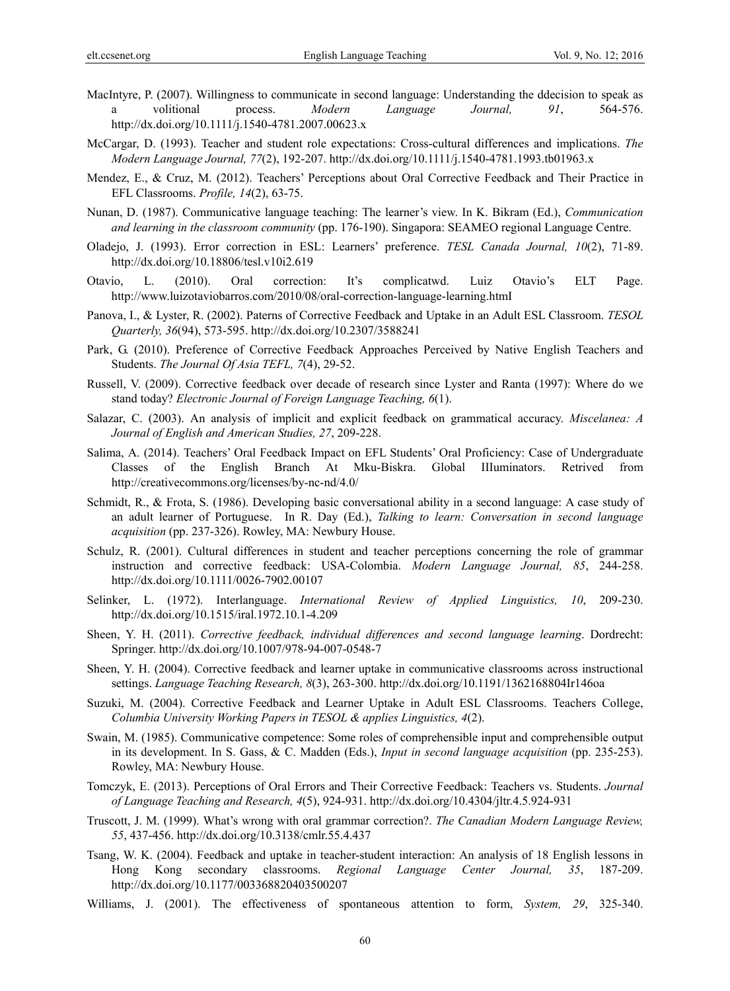- MacIntyre, P. (2007). Willingness to communicate in second language: Understanding the ddecision to speak as a volitional process. *Modern Language Journal, 91*, 564-576. http://dx.doi.org/10.1111/j.1540-4781.2007.00623.x
- McCargar, D. (1993). Teacher and student role expectations: Cross-cultural differences and implications. *The Modern Language Journal, 77*(2), 192-207. http://dx.doi.org/10.1111/j.1540-4781.1993.tb01963.x
- Mendez, E., & Cruz, M. (2012). Teachers' Perceptions about Oral Corrective Feedback and Their Practice in EFL Classrooms. *Profile, 14*(2), 63-75.
- Nunan, D. (1987). Communicative language teaching: The learner's view. In K. Bikram (Ed.), *Communication and learning in the classroom community* (pp. 176-190). Singapora: SEAMEO regional Language Centre.
- Oladejo, J. (1993). Error correction in ESL: Learners' preference. *TESL Canada Journal, 10*(2), 71-89. http://dx.doi.org/10.18806/tesl.v10i2.619
- Otavio, L. (2010). Oral correction: It's complicatwd. Luiz Otavio's ELT Page. http://www.luizotaviobarros.com/2010/08/oral-correction-language-learning.htmI
- Panova, I., & Lyster, R. (2002). Paterns of Corrective Feedback and Uptake in an Adult ESL Classroom. *TESOL Quarterly, 36*(94), 573-595. http://dx.doi.org/10.2307/3588241
- Park, G. (2010). Preference of Corrective Feedback Approaches Perceived by Native English Teachers and Students. *The Journal Of Asia TEFL, 7*(4), 29-52.
- Russell, V. (2009). Corrective feedback over decade of research since Lyster and Ranta (1997): Where do we stand today? *Electronic Journal of Foreign Language Teaching, 6*(1).
- Salazar, C. (2003). An analysis of implicit and explicit feedback on grammatical accuracy. *Miscelanea: A Journal of English and American Studies, 27*, 209-228.
- Salima, A. (2014). Teachers' Oral Feedback Impact on EFL Students' Oral Proficiency: Case of Undergraduate Classes of the English Branch At Mku-Biskra. Global IIIuminators. Retrived from http://creativecommons.org/licenses/by-nc-nd/4.0/
- Schmidt, R., & Frota, S. (1986). Developing basic conversational ability in a second language: A case study of an adult learner of Portuguese. In R. Day (Ed.), *Talking to learn: Conversation in second language acquisition* (pp. 237-326). Rowley, MA: Newbury House.
- Schulz, R. (2001). Cultural differences in student and teacher perceptions concerning the role of grammar instruction and corrective feedback: USA-Colombia. *Modern Language Journal, 85*, 244-258. http://dx.doi.org/10.1111/0026-7902.00107
- Selinker, L. (1972). Interlanguage. *International Review of Applied Linguistics, 10*, 209-230. http://dx.doi.org/10.1515/iral.1972.10.1-4.209
- Sheen, Y. H. (2011). *Corrective feedback, individual differences and second language learning*. Dordrecht: Springer. http://dx.doi.org/10.1007/978-94-007-0548-7
- Sheen, Y. H. (2004). Corrective feedback and learner uptake in communicative classrooms across instructional settings. *Language Teaching Research, 8*(3), 263-300. http://dx.doi.org/10.1191/1362168804Ir146oa
- Suzuki, M. (2004). Corrective Feedback and Learner Uptake in Adult ESL Classrooms. Teachers College, *Columbia University Working Papers in TESOL & applies Linguistics, 4*(2).
- Swain, M. (1985). Communicative competence: Some roles of comprehensible input and comprehensible output in its development. In S. Gass, & C. Madden (Eds.), *Input in second language acquisition* (pp. 235-253). Rowley, MA: Newbury House.
- Tomczyk, E. (2013). Perceptions of Oral Errors and Their Corrective Feedback: Teachers vs. Students. *Journal of Language Teaching and Research, 4*(5), 924-931. http://dx.doi.org/10.4304/jltr.4.5.924-931
- Truscott, J. M. (1999). What's wrong with oral grammar correction?. *The Canadian Modern Language Review, 55*, 437-456. http://dx.doi.org/10.3138/cmlr.55.4.437
- Tsang, W. K. (2004). Feedback and uptake in teacher-student interaction: An analysis of 18 English lessons in Hong Kong secondary classrooms. *Regional Language Center Journal, 35*, 187-209. http://dx.doi.org/10.1177/003368820403500207
- Williams, J. (2001). The effectiveness of spontaneous attention to form, *System, 29*, 325-340.